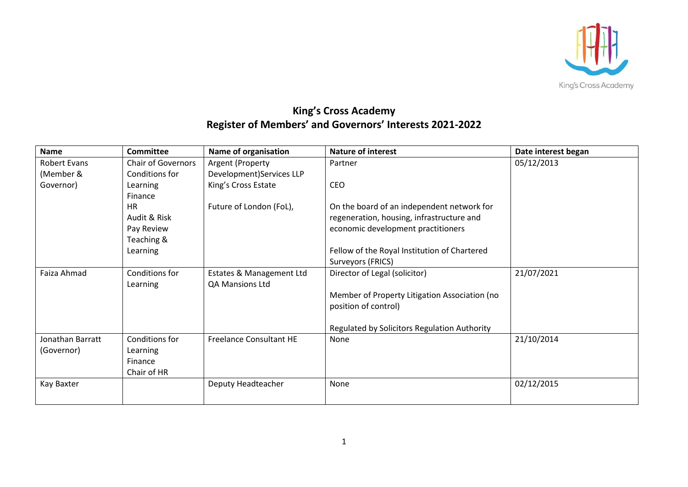

## **King's Cross Academy Register of Members' and Governors' Interests 2021-2022**

| <b>Name</b>         | <b>Committee</b>          | Name of organisation           | <b>Nature of interest</b>                     | Date interest began |
|---------------------|---------------------------|--------------------------------|-----------------------------------------------|---------------------|
| <b>Robert Evans</b> | <b>Chair of Governors</b> | Argent (Property               | Partner                                       | 05/12/2013          |
| (Member &           | Conditions for            | Development)Services LLP       |                                               |                     |
| Governor)           | Learning                  | King's Cross Estate            | <b>CEO</b>                                    |                     |
|                     | Finance                   |                                |                                               |                     |
|                     | <b>HR</b>                 | Future of London (FoL),        | On the board of an independent network for    |                     |
|                     | Audit & Risk              |                                | regeneration, housing, infrastructure and     |                     |
|                     | Pay Review                |                                | economic development practitioners            |                     |
|                     | Teaching &                |                                |                                               |                     |
|                     | Learning                  |                                | Fellow of the Royal Institution of Chartered  |                     |
|                     |                           |                                | Surveyors (FRICS)                             |                     |
| Faiza Ahmad         | Conditions for            | Estates & Management Ltd       | Director of Legal (solicitor)                 | 21/07/2021          |
|                     | Learning                  | QA Mansions Ltd                |                                               |                     |
|                     |                           |                                | Member of Property Litigation Association (no |                     |
|                     |                           |                                | position of control)                          |                     |
|                     |                           |                                |                                               |                     |
|                     |                           |                                | Regulated by Solicitors Regulation Authority  |                     |
| Jonathan Barratt    | Conditions for            | <b>Freelance Consultant HE</b> | None                                          | 21/10/2014          |
| (Governor)          | Learning                  |                                |                                               |                     |
|                     | Finance                   |                                |                                               |                     |
|                     | Chair of HR               |                                |                                               |                     |
| Kay Baxter          |                           | Deputy Headteacher             | None                                          | 02/12/2015          |
|                     |                           |                                |                                               |                     |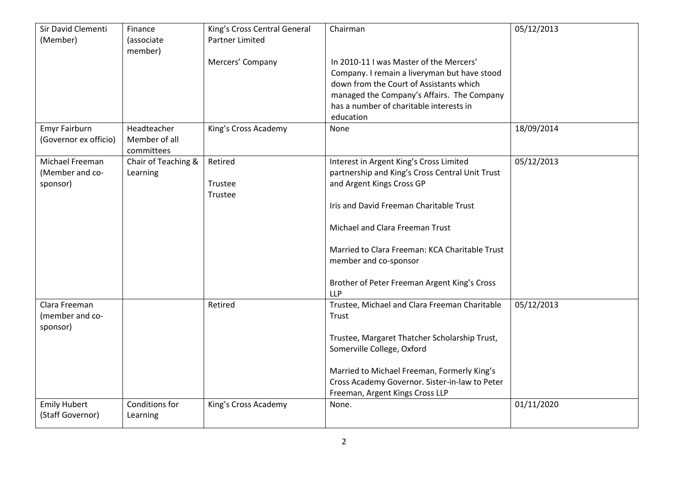| Sir David Clementi<br>(Member) | Finance<br>(associate       | King's Cross Central General<br><b>Partner Limited</b> | Chairman                                                                              | 05/12/2013 |
|--------------------------------|-----------------------------|--------------------------------------------------------|---------------------------------------------------------------------------------------|------------|
|                                | member)                     |                                                        |                                                                                       |            |
|                                |                             | Mercers' Company                                       | In 2010-11 I was Master of the Mercers'                                               |            |
|                                |                             |                                                        | Company. I remain a liveryman but have stood                                          |            |
|                                |                             |                                                        | down from the Court of Assistants which                                               |            |
|                                |                             |                                                        | managed the Company's Affairs. The Company<br>has a number of charitable interests in |            |
|                                |                             |                                                        | education                                                                             |            |
| Emyr Fairburn                  | Headteacher                 | King's Cross Academy                                   | None                                                                                  | 18/09/2014 |
| (Governor ex officio)          | Member of all<br>committees |                                                        |                                                                                       |            |
| Michael Freeman                | Chair of Teaching &         | Retired                                                | Interest in Argent King's Cross Limited                                               | 05/12/2013 |
| (Member and co-                | Learning                    |                                                        | partnership and King's Cross Central Unit Trust                                       |            |
| sponsor)                       |                             | Trustee                                                | and Argent Kings Cross GP                                                             |            |
|                                |                             | Trustee                                                |                                                                                       |            |
|                                |                             |                                                        | Iris and David Freeman Charitable Trust                                               |            |
|                                |                             |                                                        | Michael and Clara Freeman Trust                                                       |            |
|                                |                             |                                                        | Married to Clara Freeman: KCA Charitable Trust                                        |            |
|                                |                             |                                                        | member and co-sponsor                                                                 |            |
|                                |                             |                                                        | Brother of Peter Freeman Argent King's Cross                                          |            |
|                                |                             |                                                        | <b>LLP</b>                                                                            |            |
| Clara Freeman                  |                             | Retired                                                | Trustee, Michael and Clara Freeman Charitable                                         | 05/12/2013 |
| (member and co-                |                             |                                                        | Trust                                                                                 |            |
| sponsor)                       |                             |                                                        |                                                                                       |            |
|                                |                             |                                                        | Trustee, Margaret Thatcher Scholarship Trust,<br>Somerville College, Oxford           |            |
|                                |                             |                                                        |                                                                                       |            |
|                                |                             |                                                        | Married to Michael Freeman, Formerly King's                                           |            |
|                                |                             |                                                        | Cross Academy Governor. Sister-in-law to Peter                                        |            |
|                                |                             |                                                        | Freeman, Argent Kings Cross LLP                                                       |            |
| <b>Emily Hubert</b>            | Conditions for              | King's Cross Academy                                   | None.                                                                                 | 01/11/2020 |
| (Staff Governor)               | Learning                    |                                                        |                                                                                       |            |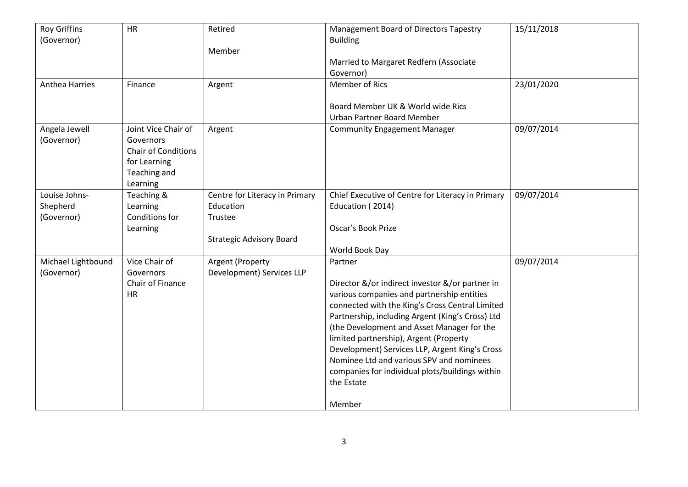| <b>Roy Griffins</b><br>(Governor) | HR                         | Retired                         | Management Board of Directors Tapestry<br><b>Building</b> | 15/11/2018 |
|-----------------------------------|----------------------------|---------------------------------|-----------------------------------------------------------|------------|
|                                   |                            | Member                          |                                                           |            |
|                                   |                            |                                 | Married to Margaret Redfern (Associate                    |            |
|                                   |                            |                                 | Governor)                                                 |            |
| Anthea Harries                    | Finance                    | Argent                          | Member of Rics                                            | 23/01/2020 |
|                                   |                            |                                 |                                                           |            |
|                                   |                            |                                 | Board Member UK & World wide Rics                         |            |
|                                   |                            |                                 | Urban Partner Board Member                                |            |
| Angela Jewell                     | Joint Vice Chair of        | Argent                          | <b>Community Engagement Manager</b>                       | 09/07/2014 |
| (Governor)                        | Governors                  |                                 |                                                           |            |
|                                   | <b>Chair of Conditions</b> |                                 |                                                           |            |
|                                   | for Learning               |                                 |                                                           |            |
|                                   | Teaching and               |                                 |                                                           |            |
|                                   | Learning                   |                                 |                                                           |            |
| Louise Johns-                     | Teaching &                 | Centre for Literacy in Primary  | Chief Executive of Centre for Literacy in Primary         | 09/07/2014 |
| Shepherd                          | Learning                   | Education                       | Education (2014)                                          |            |
| (Governor)                        | Conditions for             | Trustee                         |                                                           |            |
|                                   | Learning                   |                                 | Oscar's Book Prize                                        |            |
|                                   |                            | <b>Strategic Advisory Board</b> |                                                           |            |
|                                   |                            |                                 | World Book Day                                            |            |
| Michael Lightbound                | Vice Chair of              | Argent (Property                | Partner                                                   | 09/07/2014 |
| (Governor)                        | Governors                  | Development) Services LLP       |                                                           |            |
|                                   | Chair of Finance           |                                 | Director &/or indirect investor &/or partner in           |            |
|                                   | <b>HR</b>                  |                                 | various companies and partnership entities                |            |
|                                   |                            |                                 | connected with the King's Cross Central Limited           |            |
|                                   |                            |                                 | Partnership, including Argent (King's Cross) Ltd          |            |
|                                   |                            |                                 | (the Development and Asset Manager for the                |            |
|                                   |                            |                                 | limited partnership), Argent (Property                    |            |
|                                   |                            |                                 | Development) Services LLP, Argent King's Cross            |            |
|                                   |                            |                                 | Nominee Ltd and various SPV and nominees                  |            |
|                                   |                            |                                 | companies for individual plots/buildings within           |            |
|                                   |                            |                                 | the Estate                                                |            |
|                                   |                            |                                 | Member                                                    |            |
|                                   |                            |                                 |                                                           |            |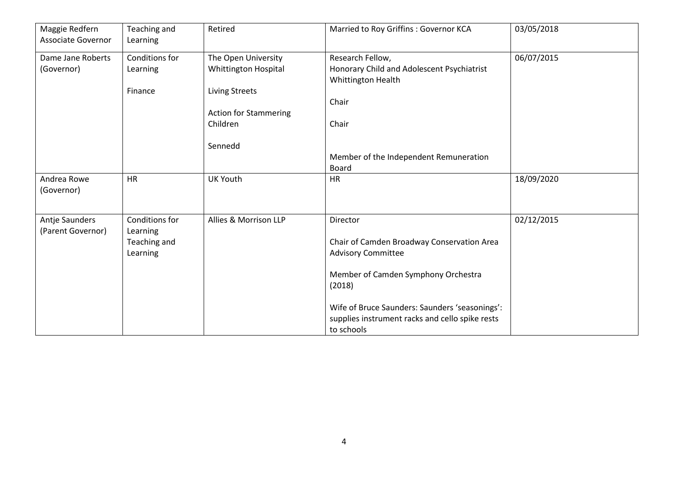| Maggie Redfern<br><b>Associate Governor</b> | Teaching and<br>Learning   | Retired                      | Married to Roy Griffins : Governor KCA                           | 03/05/2018 |
|---------------------------------------------|----------------------------|------------------------------|------------------------------------------------------------------|------------|
| Dame Jane Roberts                           | Conditions for             | The Open University          | Research Fellow,                                                 | 06/07/2015 |
| (Governor)                                  | Learning                   | <b>Whittington Hospital</b>  | Honorary Child and Adolescent Psychiatrist<br>Whittington Health |            |
|                                             | Finance                    | <b>Living Streets</b>        |                                                                  |            |
|                                             |                            |                              | Chair                                                            |            |
|                                             |                            | <b>Action for Stammering</b> |                                                                  |            |
|                                             |                            | Children                     | Chair                                                            |            |
|                                             |                            | Sennedd                      |                                                                  |            |
|                                             |                            |                              | Member of the Independent Remuneration                           |            |
|                                             |                            |                              | Board                                                            |            |
| Andrea Rowe                                 | <b>HR</b>                  | <b>UK Youth</b>              | <b>HR</b>                                                        | 18/09/2020 |
| (Governor)                                  |                            |                              |                                                                  |            |
|                                             |                            |                              |                                                                  |            |
| Antje Saunders<br>(Parent Governor)         | Conditions for<br>Learning | Allies & Morrison LLP        | Director                                                         | 02/12/2015 |
|                                             | Teaching and               |                              | Chair of Camden Broadway Conservation Area                       |            |
|                                             | Learning                   |                              | <b>Advisory Committee</b>                                        |            |
|                                             |                            |                              |                                                                  |            |
|                                             |                            |                              | Member of Camden Symphony Orchestra                              |            |
|                                             |                            |                              | (2018)                                                           |            |
|                                             |                            |                              | Wife of Bruce Saunders: Saunders 'seasonings':                   |            |
|                                             |                            |                              | supplies instrument racks and cello spike rests                  |            |
|                                             |                            |                              | to schools                                                       |            |